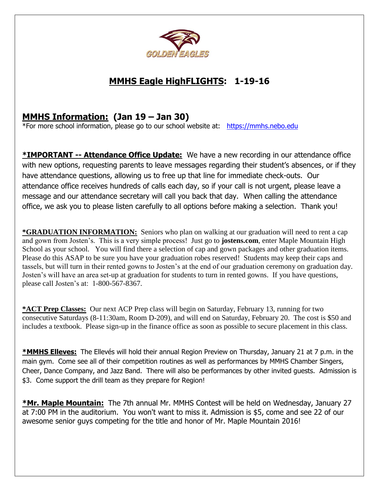

# **MMHS Eagle HighFLIGHTS: 1-19-16**

## **MMHS Information: (Jan 19 – Jan 30)**

\*For more school information, please go to our school website at: [https://mmhs.nebo.edu](https://mmhs.nebo.edu/)

**\*IMPORTANT -- Attendance Office Update:** We have a new recording in our attendance office with new options, requesting parents to leave messages regarding their student's absences, or if they have attendance questions, allowing us to free up that line for immediate check-outs. Our attendance office receives hundreds of calls each day, so if your call is not urgent, please leave a message and our attendance secretary will call you back that day. When calling the attendance office, we ask you to please listen carefully to all options before making a selection. Thank you!

**\*GRADUATION INFORMATION:** Seniors who plan on walking at our graduation will need to rent a cap and gown from Josten's. This is a very simple process! Just go to **jostens.com**, enter Maple Mountain High School as your school. You will find there a selection of cap and gown packages and other graduation items. Please do this ASAP to be sure you have your graduation robes reserved! Students may keep their caps and tassels, but will turn in their rented gowns to Josten's at the end of our graduation ceremony on graduation day. Josten's will have an area set-up at graduation for students to turn in rented gowns. If you have questions, please call Josten's at: 1-800-567-8367.

**\*ACT Prep Classes:** Our next ACP Prep class will begin on Saturday, February 13, running for two consecutive Saturdays (8-11:30am, Room D-209), and will end on Saturday, February 20. The cost is \$50 and includes a textbook. Please sign-up in the finance office as soon as possible to secure placement in this class.

**\*MMHS Elleves:** The Ellevés will hold their annual Region Preview on Thursday, January 21 at 7 p.m. in the main gym. Come see all of their competition routines as well as performances by MMHS Chamber Singers, Cheer, Dance Company, and Jazz Band. There will also be performances by other invited guests. Admission is \$3. Come support the drill team as they prepare for Region!

**\*Mr. Maple Mountain:** The 7th annual Mr. MMHS Contest will be held on Wednesday, January 27 at 7:00 PM in the auditorium. You won't want to miss it. Admission is \$5, come and see 22 of our awesome senior guys competing for the title and honor of Mr. Maple Mountain 2016!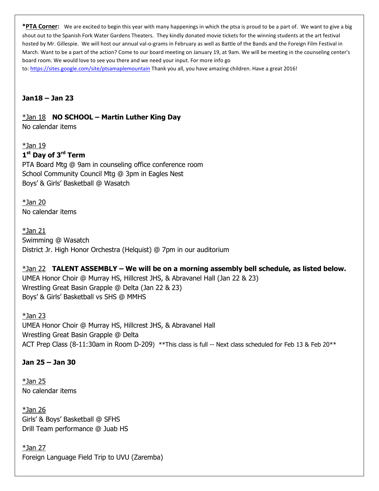**\*PTA Corner:** We are excited to begin this year with many happenings in which the ptsa is proud to be a part of. We want to give a big shout out to the Spanish Fork Water Gardens Theaters. They kindly donated movie tickets for the winning students at the art festival hosted by Mr. Gillespie. We will host our annual val-o-grams in February as well as Battle of the Bands and the Foreign Film Festival in March. Want to be a part of the action? Come to our board meeting on January 19, at 9am. We will be meeting in the counseling center's board room. We would love to see you there and we need your input. For more info go to: <https://sites.google.com/site/ptsamaplemountain> Thank you all, you have amazing children. Have a great 2016!

**Jan18 – Jan 23**

#### \*Jan 18 **NO SCHOOL – Martin Luther King Day**

No calendar items

 $*$ Jan 19

#### **1 st Day of 3rd Term**

PTA Board Mtg @ 9am in counseling office conference room School Community Council Mtg @ 3pm in Eagles Nest Boys' & Girls' Basketball @ Wasatch

\*Jan 20 No calendar items

\*Jan 21 Swimming @ Wasatch District Jr. High Honor Orchestra (Helquist) @ 7pm in our auditorium

### \*Jan 22 **TALENT ASSEMBLY – We will be on a morning assembly bell schedule, as listed below.**

UMEA Honor Choir @ Murray HS, Hillcrest JHS, & Abravanel Hall (Jan 22 & 23) Wrestling Great Basin Grapple @ Delta (Jan 22 & 23) Boys' & Girls' Basketball vs SHS @ MMHS

 $*$ Jan 23 UMEA Honor Choir @ Murray HS, Hillcrest JHS, & Abravanel Hall Wrestling Great Basin Grapple @ Delta ACT Prep Class (8-11:30am in Room D-209) \*\* This class is full -- Next class scheduled for Feb 13 & Feb 20\*\*

#### **Jan 25 – Jan 30**

 $*$ Jan 25 No calendar items

 $*$ Jan 26 Girls' & Boys' Basketball @ SFHS Drill Team performance @ Juab HS

\*Jan 27 Foreign Language Field Trip to UVU (Zaremba)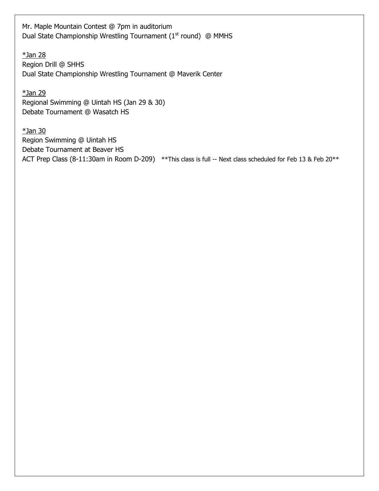Mr. Maple Mountain Contest @ 7pm in auditorium Dual State Championship Wrestling Tournament ( $1<sup>st</sup>$  round) @ MMHS

\*Jan 28 Region Drill @ SHHS Dual State Championship Wrestling Tournament @ Maverik Center

\*Jan 29 Regional Swimming @ Uintah HS (Jan 29 & 30) Debate Tournament @ Wasatch HS

\*Jan 30 Region Swimming @ Uintah HS Debate Tournament at Beaver HS ACT Prep Class (8-11:30am in Room D-209) \*\* This class is full -- Next class scheduled for Feb 13 & Feb 20\*\*